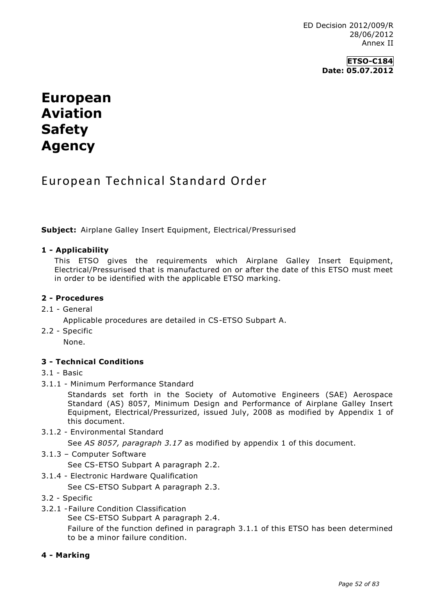### **ETSO-C184 Date: 05.07.2012**

# **European Aviation Safety Agency**

# European Technical Standard Order

**Subject:** Airplane Galley Insert Equipment, Electrical/Pressurised

#### **1 - Applicability**

This ETSO gives the requirements which Airplane Galley Insert Equipment, Electrical/Pressurised that is manufactured on or after the date of this ETSO must meet in order to be identified with the applicable ETSO marking.

#### **2 - Procedures**

2.1 - General

Applicable procedures are detailed in CS-ETSO Subpart A.

2.2 - Specific

None.

#### **3 - Technical Conditions**

#### 3.1 - Basic

3.1.1 - Minimum Performance Standard

Standards set forth in the Society of Automotive Engineers (SAE) Aerospace Standard (AS) 8057, Minimum Design and Performance of Airplane Galley Insert Equipment, Electrical/Pressurized, issued July, 2008 as modified by Appendix 1 of this document.

3.1.2 - Environmental Standard

See *AS 8057, paragraph 3.17* as modified by appendix 1 of this document.

3.1.3 – Computer Software

See CS-ETSO Subpart A paragraph 2.2.

3.1.4 - Electronic Hardware Qualification

See CS-ETSO Subpart A paragraph 2.3.

- 3.2 Specific
- 3.2.1 -Failure Condition Classification

See CS-ETSO Subpart A paragraph 2.4.

Failure of the function defined in paragraph 3.1.1 of this ETSO has been determined to be a minor failure condition.

#### **4 - Marking**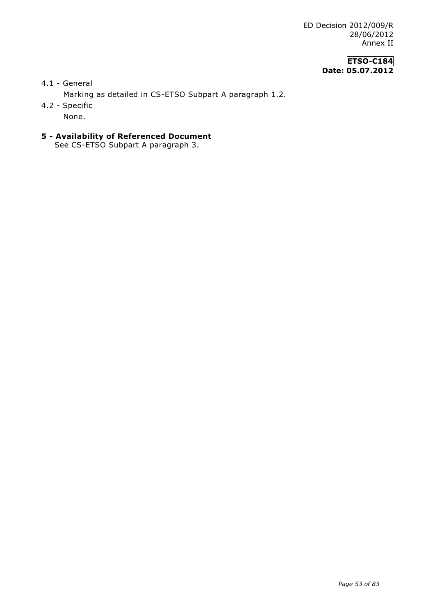# **ETSO-C184 Date: 05.07.2012**

4.1 - General

Marking as detailed in CS-ETSO Subpart A paragraph 1.2.

4.2 - Specific

None.

**5 - Availability of Referenced Document** See CS-ETSO Subpart A paragraph 3.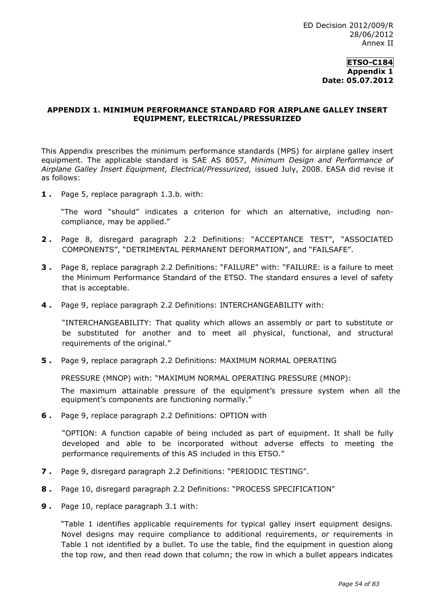#### **APPENDIX 1. MINIMUM PERFORMANCE STANDARD FOR AIRPLANE GALLEY INSERT EQUIPMENT, ELECTRICAL/PRESSURIZED**

This Appendix prescribes the minimum performance standards (MPS) for airplane galley insert equipment. The applicable standard is SAE AS 8057, *Minimum Design and Performance of Airplane Galley Insert Equipment, Electrical/Pressurized,* issued July, 2008. EASA did revise it as follows:

**1 .** Page 5, replace paragraph 1.3.b. with:

"The word "should" indicates a criterion for which an alternative, including noncompliance, may be applied."

- **2 .** Page 8, disregard paragraph 2.2 Definitions: "ACCEPTANCE TEST", "ASSOCIATED COMPONENTS", "DETRIMENTAL PERMANENT DEFORMATION", and "FAILSAFE".
- **3 .** Page 8, replace paragraph 2.2 Definitions: "FAILURE" with: "FAILURE: is a failure to meet the Minimum Performance Standard of the ETSO. The standard ensures a level of safety that is acceptable.
- **4 .** Page 9, replace paragraph 2.2 Definitions: INTERCHANGEABILITY with:

"INTERCHANGEABILITY: That quality which allows an assembly or part to substitute or be substituted for another and to meet all physical, functional, and structural requirements of the original."

**5 .** Page 9, replace paragraph 2.2 Definitions: MAXIMUM NORMAL OPERATING

PRESSURE (MNOP) with: "MAXIMUM NORMAL OPERATING PRESSURE (MNOP):

The maximum attainable pressure of the equipment's pressure system when all the equipment's components are functioning normally."

**6 .** Page 9, replace paragraph 2.2 Definitions: OPTION with

"OPTION: A function capable of being included as part of equipment. It shall be fully developed and able to be incorporated without adverse effects to meeting the performance requirements of this AS included in this ETSO."

- **7 .** Page 9, disregard paragraph 2.2 Definitions: "PERIODIC TESTING".
- **8 .** Page 10, disregard paragraph 2.2 Definitions: "PROCESS SPECIFICATION"
- **9 .** Page 10, replace paragraph 3.1 with:

"Table 1 identifies applicable requirements for typical galley insert equipment designs. Novel designs may require compliance to additional requirements, or requirements in Table 1 not identified by a bullet. To use the table, find the equipment in question along the top row, and then read down that column; the row in which a bullet appears indicates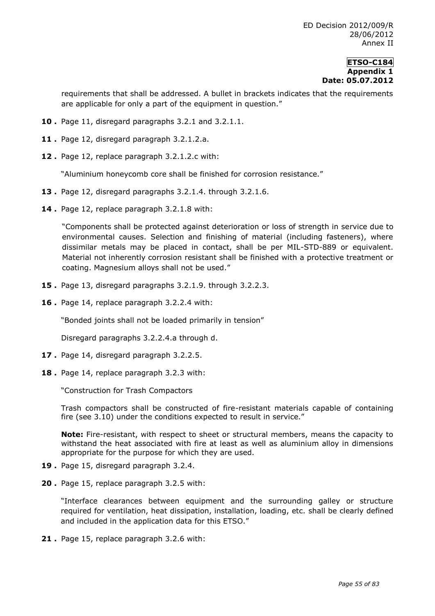requirements that shall be addressed. A bullet in brackets indicates that the requirements are applicable for only a part of the equipment in question."

- **10 .** Page 11, disregard paragraphs 3.2.1 and 3.2.1.1.
- **11 .** Page 12, disregard paragraph 3.2.1.2.a.
- **12 .** Page 12, replace paragraph 3.2.1.2.c with:

"Aluminium honeycomb core shall be finished for corrosion resistance."

- **13 .** Page 12, disregard paragraphs 3.2.1.4. through 3.2.1.6.
- **14 .** Page 12, replace paragraph 3.2.1.8 with:

"Components shall be protected against deterioration or loss of strength in service due to environmental causes. Selection and finishing of material (including fasteners), where dissimilar metals may be placed in contact, shall be per MIL-STD-889 or equivalent. Material not inherently corrosion resistant shall be finished with a protective treatment or coating. Magnesium alloys shall not be used."

- **15 .** Page 13, disregard paragraphs 3.2.1.9. through 3.2.2.3.
- **16 .** Page 14, replace paragraph 3.2.2.4 with:

"Bonded joints shall not be loaded primarily in tension"

Disregard paragraphs 3.2.2.4.a through d.

- **17 .** Page 14, disregard paragraph 3.2.2.5.
- **18 .** Page 14, replace paragraph 3.2.3 with:

"Construction for Trash Compactors

Trash compactors shall be constructed of fire-resistant materials capable of containing fire (see 3.10) under the conditions expected to result in service."

**Note:** Fire-resistant, with respect to sheet or structural members, means the capacity to withstand the heat associated with fire at least as well as aluminium alloy in dimensions appropriate for the purpose for which they are used.

- **19 .** Page 15, disregard paragraph 3.2.4.
- **20 .** Page 15, replace paragraph 3.2.5 with:

"Interface clearances between equipment and the surrounding galley or structure required for ventilation, heat dissipation, installation, loading, etc. shall be clearly defined and included in the application data for this ETSO."

**21 .** Page 15, replace paragraph 3.2.6 with: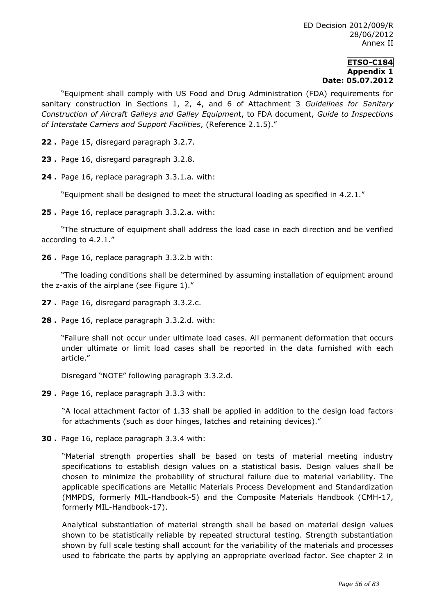"Equipment shall comply with US Food and Drug Administration (FDA) requirements for sanitary construction in Sections 1, 2, 4, and 6 of Attachment 3 *Guidelines for Sanitary Construction of Aircraft Galleys and Galley Equipmen*t, to FDA document, *Guide to Inspections of Interstate Carriers and Support Facilities*, (Reference 2.1.5)."

**22 .** Page 15, disregard paragraph 3.2.7.

**23 .** Page 16, disregard paragraph 3.2.8.

**24 .** Page 16, replace paragraph 3.3.1.a. with:

"Equipment shall be designed to meet the structural loading as specified in 4.2.1."

**25 .** Page 16, replace paragraph 3.3.2.a. with:

"The structure of equipment shall address the load case in each direction and be verified according to 4.2.1."

**26 .** Page 16, replace paragraph 3.3.2.b with:

"The loading conditions shall be determined by assuming installation of equipment around the z-axis of the airplane (see Figure 1)."

- **27 .** Page 16, disregard paragraph 3.3.2.c.
- **28 .** Page 16, replace paragraph 3.3.2.d. with:

"Failure shall not occur under ultimate load cases. All permanent deformation that occurs under ultimate or limit load cases shall be reported in the data furnished with each article."

Disregard "NOTE" following paragraph 3.3.2.d.

**29 .** Page 16, replace paragraph 3.3.3 with:

"A local attachment factor of 1.33 shall be applied in addition to the design load factors for attachments (such as door hinges, latches and retaining devices)."

**30 .** Page 16, replace paragraph 3.3.4 with:

"Material strength properties shall be based on tests of material meeting industry specifications to establish design values on a statistical basis. Design values shall be chosen to minimize the probability of structural failure due to material variability. The applicable specifications are Metallic Materials Process Development and Standardization (MMPDS, formerly MIL-Handbook-5) and the Composite Materials Handbook (CMH-17, formerly MIL-Handbook-17).

Analytical substantiation of material strength shall be based on material design values shown to be statistically reliable by repeated structural testing. Strength substantiation shown by full scale testing shall account for the variability of the materials and processes used to fabricate the parts by applying an appropriate overload factor. See chapter 2 in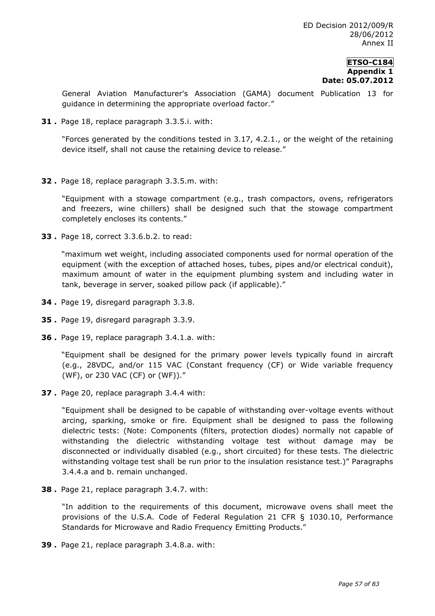General Aviation Manufacturer's Association (GAMA) document Publication 13 for guidance in determining the appropriate overload factor."

**31 .** Page 18, replace paragraph 3.3.5.i. with:

"Forces generated by the conditions tested in 3.17, 4.2.1., or the weight of the retaining device itself, shall not cause the retaining device to release."

**32 .** Page 18, replace paragraph 3.3.5.m. with:

"Equipment with a stowage compartment (e.g., trash compactors, ovens, refrigerators and freezers, wine chillers) shall be designed such that the stowage compartment completely encloses its contents."

**33 .** Page 18, correct 3.3.6.b.2. to read:

"maximum wet weight, including associated components used for normal operation of the equipment (with the exception of attached hoses, tubes, pipes and/or electrical conduit), maximum amount of water in the equipment plumbing system and including water in tank, beverage in server, soaked pillow pack (if applicable)."

- **34 .** Page 19, disregard paragraph 3.3.8.
- **35 .** Page 19, disregard paragraph 3.3.9.
- **36 .** Page 19, replace paragraph 3.4.1.a. with:

"Equipment shall be designed for the primary power levels typically found in aircraft (e.g., 28VDC, and/or 115 VAC (Constant frequency (CF) or Wide variable frequency (WF), or 230 VAC (CF) or (WF))."

**37 .** Page 20, replace paragraph 3.4.4 with:

"Equipment shall be designed to be capable of withstanding over-voltage events without arcing, sparking, smoke or fire. Equipment shall be designed to pass the following dielectric tests: (Note: Components (filters, protection diodes) normally not capable of withstanding the dielectric withstanding voltage test without damage may be disconnected or individually disabled (e.g., short circuited) for these tests. The dielectric withstanding voltage test shall be run prior to the insulation resistance test.)" Paragraphs 3.4.4.a and b. remain unchanged.

**38 .** Page 21, replace paragraph 3.4.7. with:

"In addition to the requirements of this document, microwave ovens shall meet the provisions of the U.S.A. Code of Federal Regulation 21 CFR § 1030.10, Performance Standards for Microwave and Radio Frequency Emitting Products."

**39 .** Page 21, replace paragraph 3.4.8.a. with: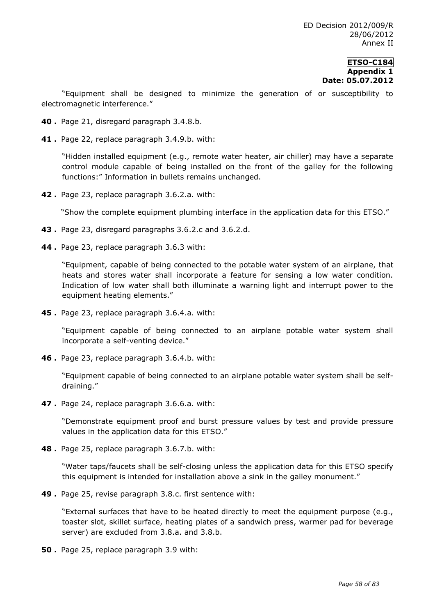"Equipment shall be designed to minimize the generation of or susceptibility to electromagnetic interference."

- **40 .** Page 21, disregard paragraph 3.4.8.b.
- **41 .** Page 22, replace paragraph 3.4.9.b. with:

"Hidden installed equipment (e.g., remote water heater, air chiller) may have a separate control module capable of being installed on the front of the galley for the following functions:" Information in bullets remains unchanged.

**42 .** Page 23, replace paragraph 3.6.2.a. with:

"Show the complete equipment plumbing interface in the application data for this ETSO."

- **43 .** Page 23, disregard paragraphs 3.6.2.c and 3.6.2.d.
- **44 .** Page 23, replace paragraph 3.6.3 with:

"Equipment, capable of being connected to the potable water system of an airplane, that heats and stores water shall incorporate a feature for sensing a low water condition. Indication of low water shall both illuminate a warning light and interrupt power to the equipment heating elements."

**45 .** Page 23, replace paragraph 3.6.4.a. with:

"Equipment capable of being connected to an airplane potable water system shall incorporate a self-venting device."

**46 .** Page 23, replace paragraph 3.6.4.b. with:

"Equipment capable of being connected to an airplane potable water system shall be selfdraining."

**47 .** Page 24, replace paragraph 3.6.6.a. with:

"Demonstrate equipment proof and burst pressure values by test and provide pressure values in the application data for this ETSO."

**48 .** Page 25, replace paragraph 3.6.7.b. with:

"Water taps/faucets shall be self-closing unless the application data for this ETSO specify this equipment is intended for installation above a sink in the galley monument."

**49 .** Page 25, revise paragraph 3.8.c. first sentence with:

"External surfaces that have to be heated directly to meet the equipment purpose (e.g., toaster slot, skillet surface, heating plates of a sandwich press, warmer pad for beverage server) are excluded from 3.8.a. and 3.8.b.

**50 .** Page 25, replace paragraph 3.9 with: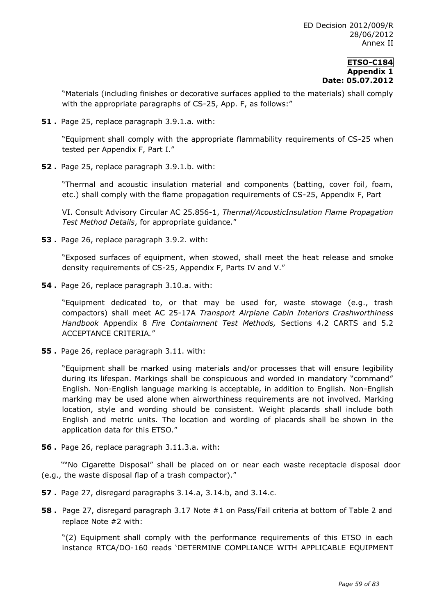"Materials (including finishes or decorative surfaces applied to the materials) shall comply with the appropriate paragraphs of CS-25, App. F, as follows:"

**51 .** Page 25, replace paragraph 3.9.1.a. with:

"Equipment shall comply with the appropriate flammability requirements of CS-25 when tested per Appendix F, Part I."

**52 .** Page 25, replace paragraph 3.9.1.b. with:

"Thermal and acoustic insulation material and components (batting, cover foil, foam, etc.) shall comply with the flame propagation requirements of CS-25, Appendix F, Part

VI. Consult Advisory Circular AC 25.856-1, *Thermal/AcousticInsulation Flame Propagation Test Method Details*, for appropriate guidance."

**53 .** Page 26, replace paragraph 3.9.2. with:

"Exposed surfaces of equipment, when stowed, shall meet the heat release and smoke density requirements of CS-25, Appendix F, Parts IV and V."

**54 .** Page 26, replace paragraph 3.10.a. with:

"Equipment dedicated to, or that may be used for, waste stowage (e.g., trash compactors) shall meet AC 25-17A *Transport Airplane Cabin Interiors Crashworthiness Handbook* Appendix 8 *Fire Containment Test Methods,* Sections 4.2 CARTS and 5.2 ACCEPTANCE CRITERIA*.*"

**55 .** Page 26, replace paragraph 3.11. with:

"Equipment shall be marked using materials and/or processes that will ensure legibility during its lifespan. Markings shall be conspicuous and worded in mandatory "command" English. Non-English language marking is acceptable, in addition to English. Non-English marking may be used alone when airworthiness requirements are not involved. Marking location, style and wording should be consistent. Weight placards shall include both English and metric units. The location and wording of placards shall be shown in the application data for this ETSO."

**56 .** Page 26, replace paragraph 3.11.3.a. with:

""No Cigarette Disposal" shall be placed on or near each waste receptacle disposal door (e.g., the waste disposal flap of a trash compactor)."

- **57 .** Page 27, disregard paragraphs 3.14.a, 3.14.b, and 3.14.c.
- **58 .** Page 27, disregard paragraph 3.17 Note #1 on Pass/Fail criteria at bottom of Table 2 and replace Note #2 with:

"(2) Equipment shall comply with the performance requirements of this ETSO in each instance RTCA/DO-160 reads 'DETERMINE COMPLIANCE WITH APPLICABLE EQUIPMENT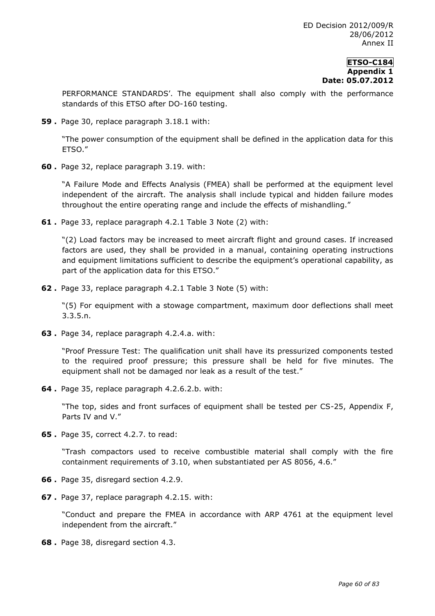PERFORMANCE STANDARDS'. The equipment shall also comply with the performance standards of this ETSO after DO-160 testing.

**59 .** Page 30, replace paragraph 3.18.1 with:

"The power consumption of the equipment shall be defined in the application data for this ETSO."

**60 .** Page 32, replace paragraph 3.19. with:

"A Failure Mode and Effects Analysis (FMEA) shall be performed at the equipment level independent of the aircraft. The analysis shall include typical and hidden failure modes throughout the entire operating range and include the effects of mishandling."

**61 .** Page 33, replace paragraph 4.2.1 Table 3 Note (2) with:

"(2) Load factors may be increased to meet aircraft flight and ground cases. If increased factors are used, they shall be provided in a manual, containing operating instructions and equipment limitations sufficient to describe the equipment's operational capability, as part of the application data for this ETSO."

**62 .** Page 33, replace paragraph 4.2.1 Table 3 Note (5) with:

"(5) For equipment with a stowage compartment, maximum door deflections shall meet 3.3.5.n.

**63 .** Page 34, replace paragraph 4.2.4.a. with:

"Proof Pressure Test: The qualification unit shall have its pressurized components tested to the required proof pressure; this pressure shall be held for five minutes. The equipment shall not be damaged nor leak as a result of the test."

**64 .** Page 35, replace paragraph 4.2.6.2.b. with:

"The top, sides and front surfaces of equipment shall be tested per CS-25, Appendix F, Parts IV and V."

**65 .** Page 35, correct 4.2.7. to read:

"Trash compactors used to receive combustible material shall comply with the fire containment requirements of 3.10, when substantiated per AS 8056, 4.6."

- **66 .** Page 35, disregard section 4.2.9.
- **67 .** Page 37, replace paragraph 4.2.15. with:

"Conduct and prepare the FMEA in accordance with ARP 4761 at the equipment level independent from the aircraft."

**68 .** Page 38, disregard section 4.3.